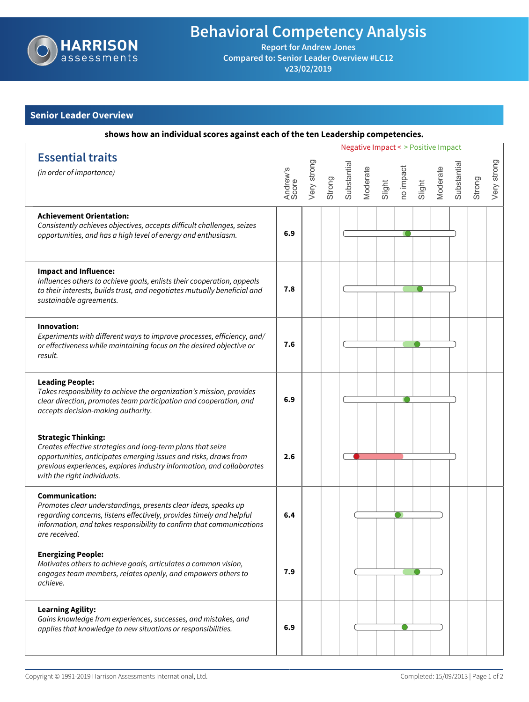

## **Behavioral Competency Analysis**

**Report for Andrew Jones Compared to: Senior Leader Overview #LC12 v23/02/2019**

## **Senior Leader Overview**

| shows how an individual scores against each of the ten Leadership competencies.                                                                                                                                                                                       |                                     |             |        |             |          |        |           |        |          |            |        |             |
|-----------------------------------------------------------------------------------------------------------------------------------------------------------------------------------------------------------------------------------------------------------------------|-------------------------------------|-------------|--------|-------------|----------|--------|-----------|--------|----------|------------|--------|-------------|
|                                                                                                                                                                                                                                                                       | Negative Impact < > Positive Impact |             |        |             |          |        |           |        |          |            |        |             |
| <b>Essential traits</b><br>(in order of importance)                                                                                                                                                                                                                   | Andrew's<br>Score                   | Very strong | Strong | Substantial | Moderate | Slight | no impact | Slight | Moderate | Substantia | Strong | Very strong |
| <b>Achievement Orientation:</b><br>Consistently achieves objectives, accepts difficult challenges, seizes<br>opportunities, and has a high level of energy and enthusiasm.                                                                                            | 6.9                                 |             |        |             |          |        |           |        |          |            |        |             |
| <b>Impact and Influence:</b><br>Influences others to achieve goals, enlists their cooperation, appeals<br>to their interests, builds trust, and negotiates mutually beneficial and<br>sustainable agreements.                                                         | 7.8                                 |             |        |             |          |        |           |        |          |            |        |             |
| Innovation:<br>Experiments with different ways to improve processes, efficiency, and/<br>or effectiveness while maintaining focus on the desired objective or<br>result.                                                                                              | 7.6                                 |             |        |             |          |        |           |        |          |            |        |             |
| <b>Leading People:</b><br>Takes responsibility to achieve the organization's mission, provides<br>clear direction, promotes team participation and cooperation, and<br>accepts decision-making authority.                                                             | 6.9                                 |             |        |             |          |        |           |        |          |            |        |             |
| <b>Strategic Thinking:</b><br>Creates effective strategies and long-term plans that seize<br>opportunities, anticipates emerging issues and risks, draws from<br>previous experiences, explores industry information, and collaborates<br>with the right individuals. | 2.6                                 |             |        |             |          |        |           |        |          |            |        |             |
| <b>Communication:</b><br>Promotes clear understandings, presents clear ideas, speaks up<br>regarding concerns, listens effectively, provides timely and helpful<br>information, and takes responsibility to confirm that communications<br>are received.              | 6.4                                 |             |        |             |          |        |           |        |          |            |        |             |
| <b>Energizing People:</b><br>Motivates others to achieve goals, articulates a common vision,<br>engages team members, relates openly, and empowers others to<br>achieve.                                                                                              | 7.9                                 |             |        |             |          |        |           |        |          |            |        |             |
| <b>Learning Agility:</b><br>Gains knowledge from experiences, successes, and mistakes, and<br>applies that knowledge to new situations or responsibilities.                                                                                                           | 6.9                                 |             |        |             |          |        |           |        |          |            |        |             |